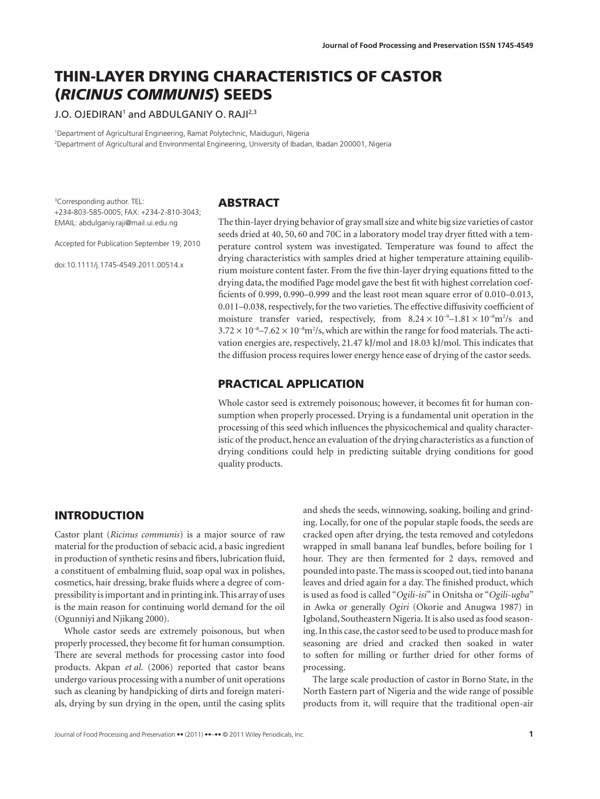# **THIN-LAYER DRYING CHARACTERISTICS OF CASTOR (***RICINUS COMMUNIS*) SEEDS

J.O. OJEDIRAN<sup>1</sup> and ABDULGANIY O. RAJI<sup>2,3</sup>

1 Department of Agricultural Engineering, Ramat Polytechnic, Maiduguri, Nigeria 2 Department of Agricultural and Environmental Engineering, University of Ibadan, Ibadan 200001, Nigeria

3 Corresponding author. TEL: +234-803-585-0005; FAX: +234-2-810-3043; EMAIL: abdulganiy.raji@mail.ui.edu.ng

Accepted for Publication September 19, 2010

doi:10.1111/j.1745-4549.2011.00514.x

## **ABSTRACT**

The thin-layer drying behavior of gray small size and white big size varieties of castor seeds dried at 40, 50, 60 and 70C in a laboratory model tray dryer fitted with a temperature control system was investigated. Temperature was found to affect the drying characteristics with samples dried at higher temperature attaining equilibrium moisture content faster. From the five thin-layer drying equations fitted to the drying data, the modified Page model gave the best fit with highest correlation coefficients of 0.999, 0.990–0.999 and the least root mean square error of 0.010–0.013, 0.011–0.038, respectively, for the two varieties. The effective diffusivity coefficient of moisture transfer varied, respectively, from  $8.24 \times 10^{-9} - 1.81 \times 10^{-8}$  m<sup>2</sup>/s and  $3.72 \times 10^{-8} - 7.62 \times 10^{-8}$  m<sup>2</sup>/s, which are within the range for food materials. The activation energies are, respectively, 21.47 kJ/mol and 18.03 kJ/mol. This indicates that the diffusion process requires lower energy hence ease of drying of the castor seeds.

# **PRACTICAL APPLICATION**

Whole castor seed is extremely poisonous; however, it becomes fit for human consumption when properly processed. Drying is a fundamental unit operation in the processing of this seed which influences the physicochemical and quality characteristic of the product, hence an evaluation of the drying characteristics as a function of drying conditions could help in predicting suitable drying conditions for good quality products.

# **INTRODUCTION**

Castor plant (*Ricinus communis*) is a major source of raw material for the production of sebacic acid, a basic ingredient in production of synthetic resins and fibers, lubrication fluid, a constituent of embalming fluid, soap opal wax in polishes, cosmetics, hair dressing, brake fluids where a degree of compressibility is important and in printing ink. This array of uses is the main reason for continuing world demand for the oil (Ogunniyi and Njikang 2000).

Whole castor seeds are extremely poisonous, but when properly processed, they become fit for human consumption. There are several methods for processing castor into food products. Akpan *et al*. (2006) reported that castor beans undergo various processing with a number of unit operations such as cleaning by handpicking of dirts and foreign materials, drying by sun drying in the open, until the casing splits

and sheds the seeds, winnowing, soaking, boiling and grinding. Locally, for one of the popular staple foods, the seeds are cracked open after drying, the testa removed and cotyledons wrapped in small banana leaf bundles, before boiling for 1 hour. They are then fermented for 2 days, removed and pounded into paste. The mass is scooped out, tied into banana leaves and dried again for a day. The finished product, which is used as food is called "*Ogili-isi*" in Onitsha or "*Ogili-ugba*" in Awka or generally *Ogiri* (Okorie and Anugwa 1987) in Igboland, Southeastern Nigeria. It is also used as food seasoning. In this case, the castor seed to be used to produce mash for seasoning are dried and cracked then soaked in water to soften for milling or further dried for other forms of processing.

The large scale production of castor in Borno State, in the North Eastern part of Nigeria and the wide range of possible products from it, will require that the traditional open-air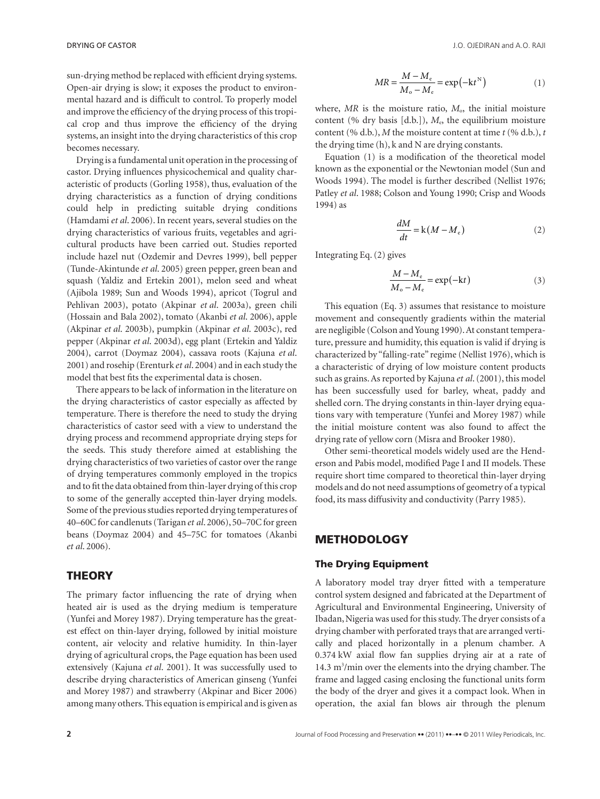sun-drying method be replaced with efficient drying systems. Open-air drying is slow; it exposes the product to environmental hazard and is difficult to control. To properly model and improve the efficiency of the drying process of this tropical crop and thus improve the efficiency of the drying systems, an insight into the drying characteristics of this crop becomes necessary.

Drying is a fundamental unit operation in the processing of castor. Drying influences physicochemical and quality characteristic of products (Gorling 1958), thus, evaluation of the drying characteristics as a function of drying conditions could help in predicting suitable drying conditions (Hamdami *et al*. 2006). In recent years, several studies on the drying characteristics of various fruits, vegetables and agricultural products have been carried out. Studies reported include hazel nut (Ozdemir and Devres 1999), bell pepper (Tunde-Akintunde *et al*. 2005) green pepper, green bean and squash (Yaldiz and Ertekin 2001), melon seed and wheat (Ajibola 1989; Sun and Woods 1994), apricot (Togrul and Pehlivan 2003), potato (Akpinar *et al*. 2003a), green chili (Hossain and Bala 2002), tomato (Akanbi *et al*. 2006), apple (Akpinar *et al*. 2003b), pumpkin (Akpinar *et al*. 2003c), red pepper (Akpinar *et al*. 2003d), egg plant (Ertekin and Yaldiz 2004), carrot (Doymaz 2004), cassava roots (Kajuna *et al*. 2001) and rosehip (Erenturk *et al*. 2004) and in each study the model that best fits the experimental data is chosen.

There appears to be lack of information in the literature on the drying characteristics of castor especially as affected by temperature. There is therefore the need to study the drying characteristics of castor seed with a view to understand the drying process and recommend appropriate drying steps for the seeds. This study therefore aimed at establishing the drying characteristics of two varieties of castor over the range of drying temperatures commonly employed in the tropics and to fit the data obtained from thin-layer drying of this crop to some of the generally accepted thin-layer drying models. Some of the previous studies reported drying temperatures of 40–60C for candlenuts (Tarigan *et al*. 2006), 50–70C for green beans (Doymaz 2004) and 45–75C for tomatoes (Akanbi *et al*. 2006).

### **THEORY**

The primary factor influencing the rate of drying when heated air is used as the drying medium is temperature (Yunfei and Morey 1987). Drying temperature has the greatest effect on thin-layer drying, followed by initial moisture content, air velocity and relative humidity. In thin-layer drying of agricultural crops, the Page equation has been used extensively (Kajuna *et al*. 2001). It was successfully used to describe drying characteristics of American ginseng (Yunfei and Morey 1987) and strawberry (Akpinar and Bicer 2006) among many others. This equation is empirical and is given as

$$
MR = \frac{M - M_e}{M_o - M_e} = \exp(-kt^N)
$$
 (1)

where, *MR* is the moisture ratio, *M*o, the initial moisture content (% dry basis [d.b.]), *M*e, the equilibrium moisture content (% d.b.),  $M$  the moisture content at time  $t$  (% d.b.),  $t$ the drying time (h), k and N are drying constants.

Equation (1) is a modification of the theoretical model known as the exponential or the Newtonian model (Sun and Woods 1994). The model is further described (Nellist 1976; Patley *et al*. 1988; Colson and Young 1990; Crisp and Woods 1994) as

$$
\frac{dM}{dt} = k(M - M_e) \tag{2}
$$

Integrating Eq. (2) gives

$$
\frac{M - M_e}{M_o - M_e} = \exp(-kt)
$$
\n(3)

This equation (Eq. 3) assumes that resistance to moisture movement and consequently gradients within the material are negligible (Colson and Young 1990).At constant temperature, pressure and humidity, this equation is valid if drying is characterized by "falling-rate" regime (Nellist 1976), which is a characteristic of drying of low moisture content products such as grains. As reported by Kajuna *et al*. (2001), this model has been successfully used for barley, wheat, paddy and shelled corn. The drying constants in thin-layer drying equations vary with temperature (Yunfei and Morey 1987) while the initial moisture content was also found to affect the drying rate of yellow corn (Misra and Brooker 1980).

Other semi-theoretical models widely used are the Henderson and Pabis model, modified Page I and II models. These require short time compared to theoretical thin-layer drying models and do not need assumptions of geometry of a typical food, its mass diffusivity and conductivity (Parry 1985).

# **METHODOLOGY**

#### **The Drying Equipment**

A laboratory model tray dryer fitted with a temperature control system designed and fabricated at the Department of Agricultural and Environmental Engineering, University of Ibadan, Nigeria was used for this study. The dryer consists of a drying chamber with perforated trays that are arranged vertically and placed horizontally in a plenum chamber. A 0.374 kW axial flow fan supplies drying air at a rate of 14.3 m<sup>3</sup>/min over the elements into the drying chamber. The frame and lagged casing enclosing the functional units form the body of the dryer and gives it a compact look. When in operation, the axial fan blows air through the plenum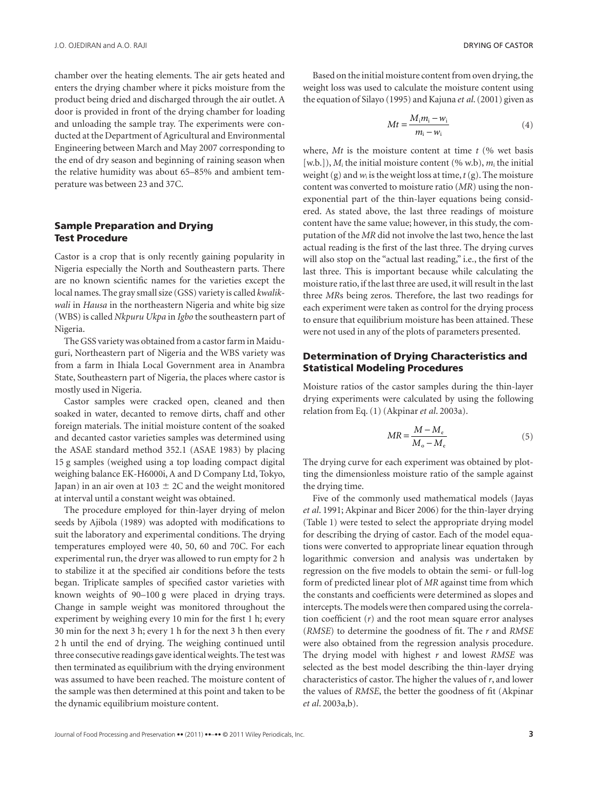chamber over the heating elements. The air gets heated and enters the drying chamber where it picks moisture from the product being dried and discharged through the air outlet. A door is provided in front of the drying chamber for loading and unloading the sample tray. The experiments were conducted at the Department of Agricultural and Environmental Engineering between March and May 2007 corresponding to the end of dry season and beginning of raining season when the relative humidity was about 65–85% and ambient temperature was between 23 and 37C.

#### **Sample Preparation and Drying Test Procedure**

Castor is a crop that is only recently gaining popularity in Nigeria especially the North and Southeastern parts. There are no known scientific names for the varieties except the local names. The gray small size (GSS) variety is called *kwalikwali* in *Hausa* in the northeastern Nigeria and white big size (WBS) is called *Nkpuru Ukpa* in *Igbo* the southeastern part of Nigeria.

The GSS variety was obtained from a castor farm in Maiduguri, Northeastern part of Nigeria and the WBS variety was from a farm in Ihiala Local Government area in Anambra State, Southeastern part of Nigeria, the places where castor is mostly used in Nigeria.

Castor samples were cracked open, cleaned and then soaked in water, decanted to remove dirts, chaff and other foreign materials. The initial moisture content of the soaked and decanted castor varieties samples was determined using the ASAE standard method 352.1 (ASAE 1983) by placing 15 g samples (weighed using a top loading compact digital weighing balance EK-H6000i, A and D Company Ltd, Tokyo, Japan) in an air oven at 103  $\pm$  2C and the weight monitored at interval until a constant weight was obtained.

The procedure employed for thin-layer drying of melon seeds by Ajibola (1989) was adopted with modifications to suit the laboratory and experimental conditions. The drying temperatures employed were 40, 50, 60 and 70C. For each experimental run, the dryer was allowed to run empty for 2 h to stabilize it at the specified air conditions before the tests began. Triplicate samples of specified castor varieties with known weights of 90–100 g were placed in drying trays. Change in sample weight was monitored throughout the experiment by weighing every 10 min for the first 1 h; every 30 min for the next 3 h; every 1 h for the next 3 h then every 2 h until the end of drying. The weighing continued until three consecutive readings gave identical weights. The test was then terminated as equilibrium with the drying environment was assumed to have been reached. The moisture content of the sample was then determined at this point and taken to be the dynamic equilibrium moisture content.

Based on the initial moisture content from oven drying, the weight loss was used to calculate the moisture content using the equation of Silayo (1995) and Kajuna *et al*. (2001) given as

$$
Mt = \frac{M_i m_i - w_i}{m_i - w_i} \tag{4}
$$

where, *Mt* is the moisture content at time *t* (% wet basis [w.b.]),  $M_i$  the initial moisture content (% w.b),  $m_i$  the initial weight (g) and  $w_i$  is the weight loss at time,  $t(g)$ . The moisture content was converted to moisture ratio (*MR*) using the nonexponential part of the thin-layer equations being considered. As stated above, the last three readings of moisture content have the same value; however, in this study, the computation of the *MR* did not involve the last two, hence the last actual reading is the first of the last three. The drying curves will also stop on the "actual last reading," i.e., the first of the last three. This is important because while calculating the moisture ratio, if the last three are used, it will result in the last three *MR*s being zeros. Therefore, the last two readings for each experiment were taken as control for the drying process to ensure that equilibrium moisture has been attained. These were not used in any of the plots of parameters presented.

## **Determination of Drying Characteristics and Statistical Modeling Procedures**

Moisture ratios of the castor samples during the thin-layer drying experiments were calculated by using the following relation from Eq. (1) (Akpinar *et al*. 2003a).

$$
MR = \frac{M - M_e}{M_o - M_e} \tag{5}
$$

The drying curve for each experiment was obtained by plotting the dimensionless moisture ratio of the sample against the drying time.

Five of the commonly used mathematical models (Jayas *et al*. 1991; Akpinar and Bicer 2006) for the thin-layer drying (Table 1) were tested to select the appropriate drying model for describing the drying of castor. Each of the model equations were converted to appropriate linear equation through logarithmic conversion and analysis was undertaken by regression on the five models to obtain the semi- or full-log form of predicted linear plot of *MR* against time from which the constants and coefficients were determined as slopes and intercepts. The models were then compared using the correlation coefficient (*r*) and the root mean square error analyses (*RMSE*) to determine the goodness of fit. The *r* and *RMSE* were also obtained from the regression analysis procedure. The drying model with highest *r* and lowest *RMSE* was selected as the best model describing the thin-layer drying characteristics of castor. The higher the values of *r*, and lower the values of *RMSE*, the better the goodness of fit (Akpinar *et al*. 2003a,b).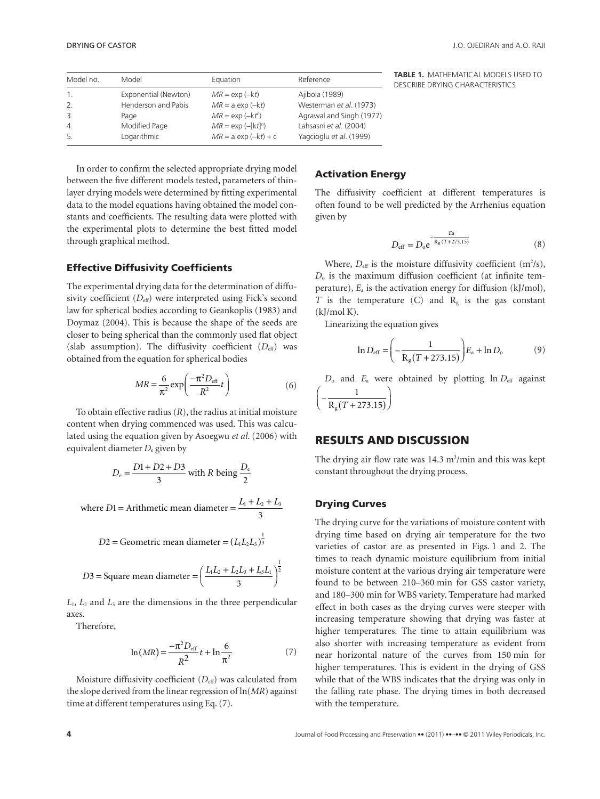| Model no.        | Model                | Equation               | Reference                |
|------------------|----------------------|------------------------|--------------------------|
| 1.               | Exponential (Newton) | $MR = \exp(-kt)$       | Ajibola (1989)           |
| 2.               | Henderson and Pabis  | $MR = a.\exp(-kt)$     | Westerman et al. (1973)  |
| 3.               | Page                 | $MR = \exp(-kt^n)$     | Agrawal and Singh (1977) |
| $\overline{4}$ . | Modified Page        | $MR = \exp(-[kt]^n)$   | Lahsasni et al. (2004)   |
| .5.              | Logarithmic          | $MR = a.\exp(-kt) + c$ | Yagcioglu et al. (1999)  |

In order to confirm the selected appropriate drying model between the five different models tested, parameters of thinlayer drying models were determined by fitting experimental data to the model equations having obtained the model constants and coefficients. The resulting data were plotted with the experimental plots to determine the best fitted model through graphical method.

## **Effective Diffusivity Coefficients**

The experimental drying data for the determination of diffusivity coefficient ( $D_{\text{eff}}$ ) were interpreted using Fick's second law for spherical bodies according to Geankoplis (1983) and Doymaz (2004). This is because the shape of the seeds are closer to being spherical than the commonly used flat object (slab assumption). The diffusivity coefficient ( $D_{\text{eff}}$ ) was obtained from the equation for spherical bodies

$$
MR = \frac{6}{\pi^2} \exp\left(\frac{-\pi^2 D_{\text{eff}}}{R^2} t\right) \tag{6}
$$

To obtain effective radius (*R*), the radius at initial moisture content when drying commenced was used. This was calculated using the equation given by Asoegwu *et al*. (2006) with equivalent diameter *D*<sup>e</sup> given by

$$
D_e = \frac{D1 + D2 + D3}{3}
$$
 with *R* being  $\frac{D_e}{2}$ 

where *D*1 = Arithmetic mean diameter =  $\frac{L_1 + L_2 + L_3}{3}$ 

$$
D2 = \text{Geometric mean diameter} = (L_1 L_2 L_3)^{\frac{1}{3}}
$$

$$
D3 = \text{Square mean diameter} = \left(\frac{L_1 L_2 + L_2 L_3 + L_3 L_1}{3}\right)^{\frac{1}{2}}
$$

*L*1, *L*<sup>2</sup> and *L*<sup>3</sup> are the dimensions in the three perpendicular axes.

Therefore,

$$
\ln(MR) = \frac{-\pi^2 D_{\text{eff}}}{R^2} t + \ln \frac{6}{\pi^2}
$$
 (7)

Moisture diffusivity coefficient ( $D_{\text{eff}}$ ) was calculated from the slope derived from the linear regression of ln(*MR*) against time at different temperatures using Eq. (7).

#### **TABLE 1.** MATHEMATICAL MODELS USED TO DESCRIBE DRYING CHARACTERISTICS

#### **Activation Energy**

The diffusivity coefficient at different temperatures is often found to be well predicted by the Arrhenius equation given by

$$
D_{\rm eff} = D_{\rm o} e^{-\frac{E_{\rm a}}{R_{\rm g}(T + 273.15)}} \tag{8}
$$

Where,  $D_{\text{eff}}$  is the moisture diffusivity coefficient  $(m^2/s)$ , *D*<sup>o</sup> is the maximum diffusion coefficient (at infinite temperature), *E*<sup>a</sup> is the activation energy for diffusion (kJ/mol), *T* is the temperature (C) and  $R_g$  is the gas constant  $(kJ/mol K)$ .

Linearizing the equation gives

$$
\ln D_{\rm eff} = \left( -\frac{1}{R_{\rm g}(T + 273.15)} \right) E_{\rm a} + \ln D_{\rm o} \tag{9}
$$

 $D_0$  and  $E_a$  were obtained by plotting  $\ln D_{\text{eff}}$  against  $\left( -\frac{1}{R_{\rm g}(T+273.15)} \right)$  $\left(-\frac{1}{R_{\rm g}(T+273.15)}\right)$ 1  $R_{\rm g} (T + 273.15$ 

## **RESULTS AND DISCUSSION**

The drying air flow rate was  $14.3 \text{ m}^3/\text{min}$  and this was kept constant throughout the drying process.

## **Drying Curves**

The drying curve for the variations of moisture content with drying time based on drying air temperature for the two varieties of castor are as presented in Figs. 1 and 2. The times to reach dynamic moisture equilibrium from initial moisture content at the various drying air temperature were found to be between 210–360 min for GSS castor variety, and 180–300 min for WBS variety. Temperature had marked effect in both cases as the drying curves were steeper with increasing temperature showing that drying was faster at higher temperatures. The time to attain equilibrium was also shorter with increasing temperature as evident from near horizontal nature of the curves from 150 min for higher temperatures. This is evident in the drying of GSS while that of the WBS indicates that the drying was only in the falling rate phase. The drying times in both decreased with the temperature.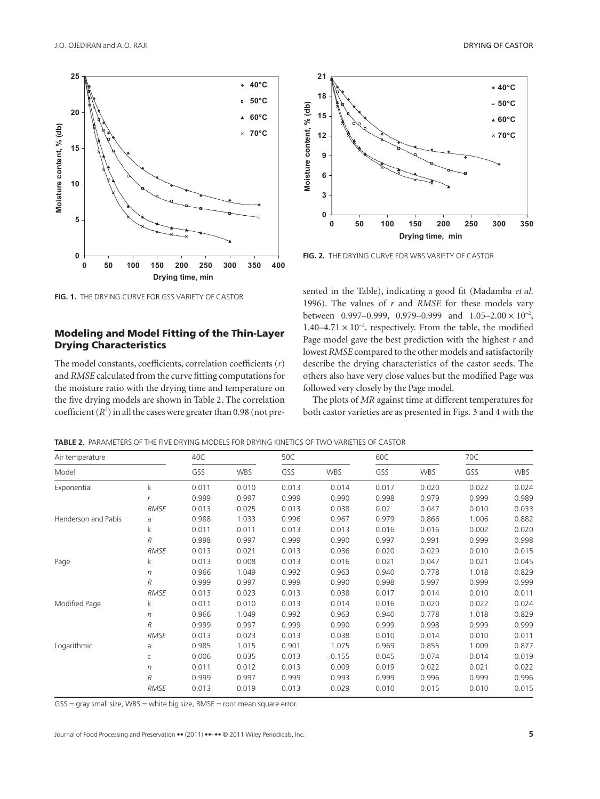

**FIG. 1.** THE DRYING CURVE FOR GSS VARIETY OF CASTOR

# **Modeling and Model Fitting of the Thin-Layer Drying Characteristics**

The model constants, coefficients, correlation coefficients (*r*) and *RMSE* calculated from the curve fitting computations for the moisture ratio with the drying time and temperature on the five drying models are shown in Table 2. The correlation coefficient  $(R^2)$  in all the cases were greater than 0.98 (not pre-





**FIG. 2.** THE DRYING CURVE FOR WBS VARIETY OF CASTOR

sented in the Table), indicating a good fit (Madamba *et al*. 1996). The values of *r* and *RMSE* for these models vary between 0.997–0.999, 0.979–0.999 and  $1.05-2.00 \times 10^{-2}$ ,  $1.40 - 4.71 \times 10^{-2}$ , respectively. From the table, the modified Page model gave the best prediction with the highest *r* and lowest *RMSE* compared to the other models and satisfactorily describe the drying characteristics of the castor seeds. The others also have very close values but the modified Page was followed very closely by the Page model.

The plots of *MR* against time at different temperatures for both castor varieties are as presented in Figs. 3 and 4 with the

| <b>TABLE 2.</b> PARAMETERS OF THE FIVE DRYING MODELS FOR DRYING KINETICS OF TWO VARIETIES OF CASTOR |  |  |
|-----------------------------------------------------------------------------------------------------|--|--|
|-----------------------------------------------------------------------------------------------------|--|--|

| Air temperature     |             | 40C   |            | 50C   |            | 60C   |            | 70C      |            |
|---------------------|-------------|-------|------------|-------|------------|-------|------------|----------|------------|
| Model               |             | GSS   | <b>WBS</b> | GSS   | <b>WBS</b> | GSS   | <b>WBS</b> | GSS      | <b>WBS</b> |
| Exponential         | k           | 0.011 | 0.010      | 0.013 | 0.014      | 0.017 | 0.020      | 0.022    | 0.024      |
|                     | r           | 0.999 | 0.997      | 0.999 | 0.990      | 0.998 | 0.979      | 0.999    | 0.989      |
|                     | RMSE        | 0.013 | 0.025      | 0.013 | 0.038      | 0.02  | 0.047      | 0.010    | 0.033      |
| Henderson and Pabis | a           | 0.988 | 1.033      | 0.996 | 0.967      | 0.979 | 0.866      | 1.006    | 0.882      |
|                     | k.          | 0.011 | 0.011      | 0.013 | 0.013      | 0.016 | 0.016      | 0.002    | 0.020      |
|                     | R           | 0.998 | 0.997      | 0.999 | 0.990      | 0.997 | 0.991      | 0.999    | 0.998      |
|                     | <b>RMSE</b> | 0.013 | 0.021      | 0.013 | 0.036      | 0.020 | 0.029      | 0.010    | 0.015      |
| Page                | k.          | 0.013 | 0.008      | 0.013 | 0.016      | 0.021 | 0.047      | 0.021    | 0.045      |
|                     | n           | 0.966 | 1.049      | 0.992 | 0.963      | 0.940 | 0.778      | 1.018    | 0.829      |
|                     | R           | 0.999 | 0.997      | 0.999 | 0.990      | 0.998 | 0.997      | 0.999    | 0.999      |
|                     | <b>RMSE</b> | 0.013 | 0.023      | 0.013 | 0.038      | 0.017 | 0.014      | 0.010    | 0.011      |
| Modified Page       | k           | 0.011 | 0.010      | 0.013 | 0.014      | 0.016 | 0.020      | 0.022    | 0.024      |
|                     | n           | 0.966 | 1.049      | 0.992 | 0.963      | 0.940 | 0.778      | 1.018    | 0.829      |
|                     | R           | 0.999 | 0.997      | 0.999 | 0.990      | 0.999 | 0.998      | 0.999    | 0.999      |
|                     | <b>RMSE</b> | 0.013 | 0.023      | 0.013 | 0.038      | 0.010 | 0.014      | 0.010    | 0.011      |
| Logarithmic         | a           | 0.985 | 1.015      | 0.901 | 1.075      | 0.969 | 0.855      | 1.009    | 0.877      |
|                     | C           | 0.006 | 0.035      | 0.013 | $-0.155$   | 0.045 | 0.074      | $-0.014$ | 0.019      |
|                     | n           | 0.011 | 0.012      | 0.013 | 0.009      | 0.019 | 0.022      | 0.021    | 0.022      |
|                     | R           | 0.999 | 0.997      | 0.999 | 0.993      | 0.999 | 0.996      | 0.999    | 0.996      |
|                     | <b>RMSE</b> | 0.013 | 0.019      | 0.013 | 0.029      | 0.010 | 0.015      | 0.010    | 0.015      |

GSS = gray small size, WBS = white big size, RMSE = root mean square error.

Journal of Food Processing and Preservation **••** (2011) ••–•• © 2011 Wiley Periodicals, Inc. **5**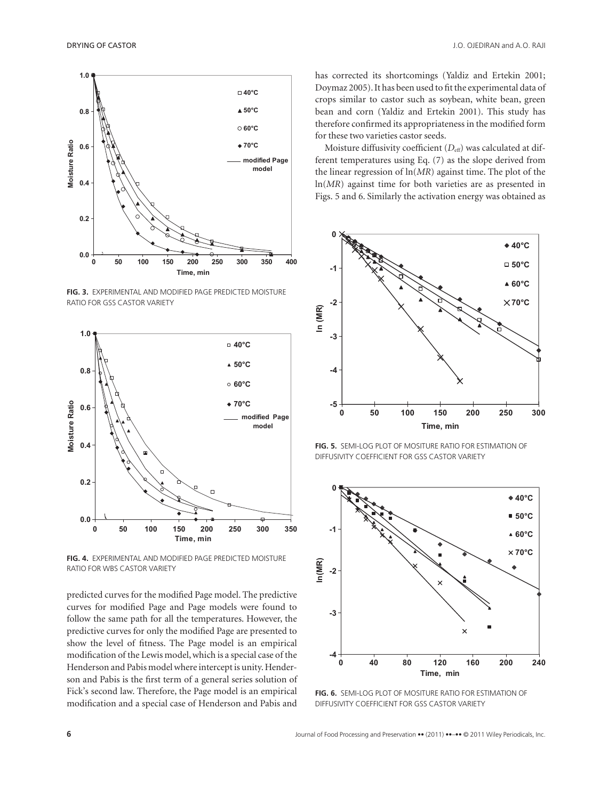

**FIG. 3.** EXPERIMENTAL AND MODIFIED PAGE PREDICTED MOISTURE RATIO FOR GSS CASTOR VARIETY



**FIG. 4.** EXPERIMENTAL AND MODIFIED PAGE PREDICTED MOISTURE RATIO FOR WBS CASTOR VARIETY

predicted curves for the modified Page model. The predictive curves for modified Page and Page models were found to follow the same path for all the temperatures. However, the predictive curves for only the modified Page are presented to show the level of fitness. The Page model is an empirical modification of the Lewis model, which is a special case of the Henderson and Pabis model where intercept is unity. Henderson and Pabis is the first term of a general series solution of Fick's second law. Therefore, the Page model is an empirical modification and a special case of Henderson and Pabis and

has corrected its shortcomings (Yaldiz and Ertekin 2001;

Doymaz 2005). It has been used to fit the experimental data of crops similar to castor such as soybean, white bean, green bean and corn (Yaldiz and Ertekin 2001). This study has therefore confirmed its appropriateness in the modified form for these two varieties castor seeds.

Moisture diffusivity coefficient ( $D_{\text{eff}}$ ) was calculated at different temperatures using Eq. (7) as the slope derived from the linear regression of ln(*MR*) against time. The plot of the ln(*MR*) against time for both varieties are as presented in Figs. 5 and 6. Similarly the activation energy was obtained as



**FIG. 5.** SEMI-LOG PLOT OF MOSITURE RATIO FOR ESTIMATION OF DIFFUSIVITY COEFFICIENT FOR GSS CASTOR VARIETY



**FIG. 6.** SEMI-LOG PLOT OF MOSITURE RATIO FOR ESTIMATION OF DIFFUSIVITY COEFFICIENT FOR GSS CASTOR VARIETY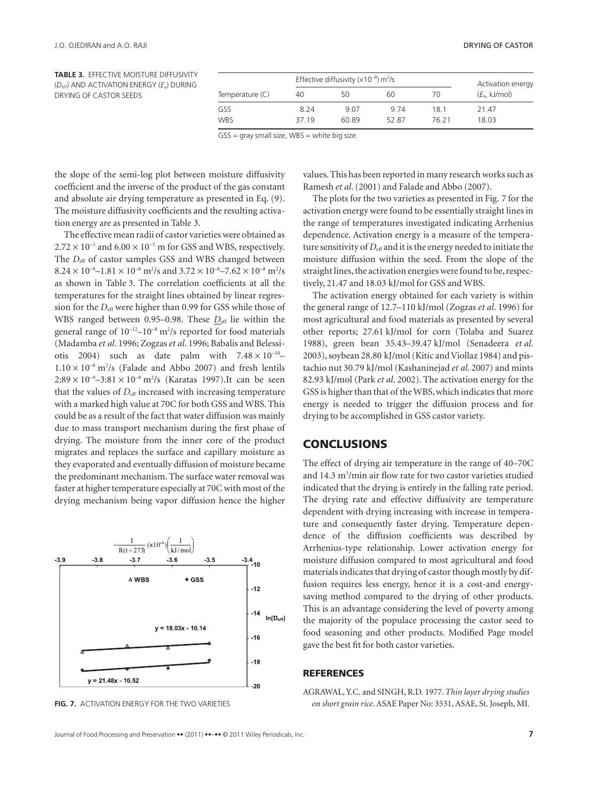| <b>TABLE 3. EFFECTIVE MOISTURE DIFFUSIVITY</b>             |                   |
|------------------------------------------------------------|-------------------|
| $(D_{\rm eff})$ AND ACTIVATION ENERGY $(E_{\rm a})$ DURING |                   |
| DRYING OF CASTOR SEEDS                                     | Temperature $(C)$ |

|                 |       | Effective diffusivity $(x10^{-9})$ m <sup>2</sup> /s |       | Activation energy |                 |
|-----------------|-------|------------------------------------------------------|-------|-------------------|-----------------|
| Temperature (C) | 40    | 50                                                   | 60    | 70                | $(E_a, kJ/mol)$ |
| GSS             | 8.24  | 9.07                                                 | 974   | 18.1              | 21.47           |
| WBS             | 37.19 | 60.89                                                | 52.87 | 76.21             | 18.03           |

 $GSS =$  gray small size, WBS = white big size.

the slope of the semi-log plot between moisture diffusivity coefficient and the inverse of the product of the gas constant and absolute air drying temperature as presented in Eq. (9). The moisture diffusivity coefficients and the resulting activation energy are as presented in Table 3.

The effective mean radii of castor varieties were obtained as  $2.72 \times 10^{-3}$  and  $6.00 \times 10^{-3}$  m for GSS and WBS, respectively. The  $D_{\text{eff}}$  of castor samples GSS and WBS changed between  $8.24 \times 10^{-9} - 1.81 \times 10^{-8}$  m<sup>2</sup>/s and  $3.72 \times 10^{-8} - 7.62 \times 10^{-8}$  m<sup>2</sup>/s as shown in Table 3. The correlation coefficients at all the temperatures for the straight lines obtained by linear regression for the *D*<sub>eff</sub> were higher than 0.99 for GSS while those of WBS ranged between 0.95–0.98. These  $D_{\text{eff}}$  lie within the general range of  $10^{-12} - 10^{-8}$  m<sup>2</sup>/s reported for food materials (Madamba *et al*. 1996; Zogzas*et al*. 1996; Babalis and Belessiotis 2004) such as date palm with  $7.48 \times 10^{-10} 1.10 \times 10^{-8}$  m<sup>2</sup>/s (Falade and Abbo 2007) and fresh lentils  $2:89 \times 10^{-9} - 3:81 \times 10^{-9}$  m<sup>2</sup>/s (Karatas 1997). It can be seen that the values of  $D_{\text{eff}}$  increased with increasing temperature with a marked high value at 70C for both GSS and WBS. This could be as a result of the fact that water diffusion was mainly due to mass transport mechanism during the first phase of drying. The moisture from the inner core of the product migrates and replaces the surface and capillary moisture as they evaporated and eventually diffusion of moisture became the predominant mechanism. The surface water removal was faster at higher temperature especially at 70C with most of the drying mechanism being vapor diffusion hence the higher



**FIG. 7.** ACTIVATION ENERGY FOR THE TWO VARIETIES

values. This has been reported in many research works such as Ramesh *et al*. (2001) and Falade and Abbo (2007).

The plots for the two varieties as presented in Fig. 7 for the activation energy were found to be essentially straight lines in the range of temperatures investigated indicating Arrhenius dependence. Activation energy is a measure of the temperature sensitivity of  $D_{\text{eff}}$  and it is the energy needed to initiate the moisture diffusion within the seed. From the slope of the straight lines, the activation energies were found to be, respectively, 21.47 and 18.03 kJ/mol for GSS and WBS.

The activation energy obtained for each variety is within the general range of 12.7–110 kJ/mol (Zogzas *et al*. 1996) for most agricultural and food materials as presented by several other reports; 27.61 kJ/mol for corn (Tolaba and Suarez 1988), green bean 35.43–39.47 kJ/mol (Senadeera *et al*. 2003), soybean 28.80 kJ/mol (Kitic and Viollaz 1984) and pistachio nut 30.79 kJ/mol (Kashaninejad *et al*. 2007) and mints 82.93 kJ/mol (Park *et al*. 2002). The activation energy for the GSS is higher than that of the WBS, which indicates that more energy is needed to trigger the diffusion process and for drying to be accomplished in GSS castor variety.

# **CONCLUSIONS**

The effect of drying air temperature in the range of 40–70C and 14.3 m<sup>3</sup>/min air flow rate for two castor varieties studied indicated that the drying is entirely in the falling rate period. The drying rate and effective diffusivity are temperature dependent with drying increasing with increase in temperature and consequently faster drying. Temperature dependence of the diffusion coefficients was described by Arrhenius-type relationship. Lower activation energy for moisture diffusion compared to most agricultural and food materials indicates that drying of castor though mostly by diffusion requires less energy, hence it is a cost-and energysaving method compared to the drying of other products. This is an advantage considering the level of poverty among the majority of the populace processing the castor seed to food seasoning and other products. Modified Page model gave the best fit for both castor varieties.

#### **REFERENCES**

AGRAWAL, Y.C. and SINGH, R.D. 1977. *Thin layer drying studies on short grain rice*. ASAE Paper No: 3531, ASAE, St. Joseph, MI.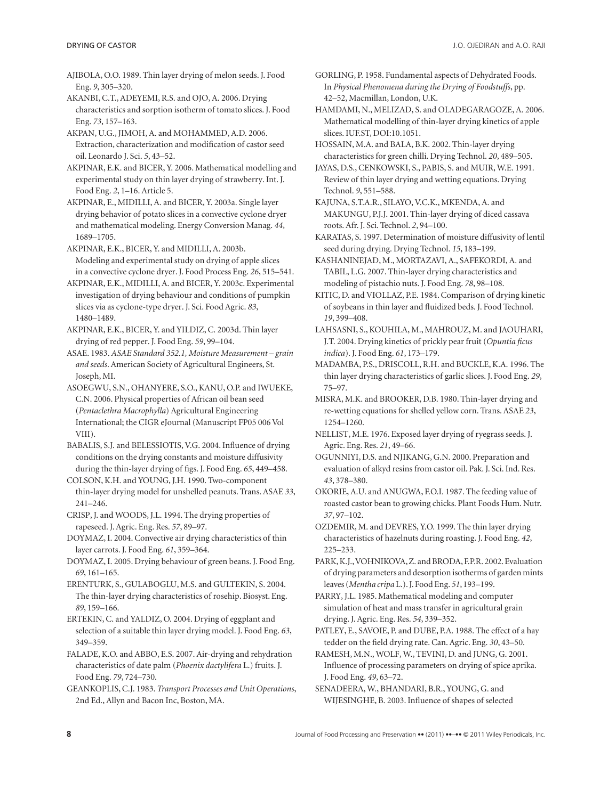AJIBOLA, O.O. 1989. Thin layer drying of melon seeds. J. Food Eng. *9*, 305–320.

AKANBI, C.T., ADEYEMI, R.S. and OJO, A. 2006. Drying characteristics and sorption isotherm of tomato slices. J. Food Eng. *73*, 157–163.

AKPAN, U.G., JIMOH, A. and MOHAMMED, A.D. 2006. Extraction, characterization and modification of castor seed oil. Leonardo J. Sci. *5*, 43–52.

AKPINAR, E.K. and BICER, Y. 2006. Mathematical modelling and experimental study on thin layer drying of strawberry. Int. J. Food Eng. *2*, 1–16. Article 5.

AKPINAR, E., MIDILLI, A. and BICER, Y. 2003a. Single layer drying behavior of potato slices in a convective cyclone dryer and mathematical modeling. Energy Conversion Manag. *44*, 1689–1705.

AKPINAR, E.K., BICER, Y. and MIDILLI, A. 2003b. Modeling and experimental study on drying of apple slices in a convective cyclone dryer. J. Food Process Eng. *26*, 515–541.

AKPINAR, E.K., MIDILLI, A. and BICER, Y. 2003c. Experimental investigation of drying behaviour and conditions of pumpkin slices via as cyclone-type dryer. J. Sci. Food Agric. *83*, 1480–1489.

AKPINAR, E.K., BICER, Y. and YILDIZ, C. 2003d. Thin layer drying of red pepper. J. Food Eng. *59*, 99–104.

ASAE. 1983. *ASAE Standard 352.1, Moisture Measurement – grain and seeds*. American Society of Agricultural Engineers, St. Joseph, MI.

ASOEGWU, S.N., OHANYERE, S.O., KANU, O.P. and IWUEKE, C.N. 2006. Physical properties of African oil bean seed (*Pentaclethra Macrophylla*) Agricultural Engineering International; the CIGR eJournal (Manuscript FP05 006 Vol VIII).

BABALIS, S.J. and BELESSIOTIS, V.G. 2004. Influence of drying conditions on the drying constants and moisture diffusivity during the thin-layer drying of figs. J. Food Eng. *65*, 449–458.

COLSON, K.H. and YOUNG, J.H. 1990. Two-component thin-layer drying model for unshelled peanuts. Trans. ASAE *33*, 241–246.

CRISP, J. and WOODS, J.L. 1994. The drying properties of rapeseed. J. Agric. Eng. Res. *57*, 89–97.

DOYMAZ, I. 2004. Convective air drying characteristics of thin layer carrots. J. Food Eng. *61*, 359–364.

DOYMAZ, I. 2005. Drying behaviour of green beans. J. Food Eng. *69*, 161–165.

ERENTURK, S., GULABOGLU, M.S. and GULTEKIN, S. 2004. The thin-layer drying characteristics of rosehip. Biosyst. Eng. *89*, 159–166.

ERTEKIN, C. and YALDIZ, O. 2004. Drying of eggplant and selection of a suitable thin layer drying model. J. Food Eng. *63*, 349–359.

FALADE, K.O. and ABBO, E.S. 2007. Air-drying and rehydration characteristics of date palm (*Phoenix dactylifera* L.) fruits. J. Food Eng. *79*, 724–730.

GEANKOPLIS, C.J. 1983. *Transport Processes and Unit Operations*, 2nd Ed., Allyn and Bacon Inc, Boston, MA.

GORLING, P. 1958. Fundamental aspects of Dehydrated Foods. In *Physical Phenomena during the Drying of Foodstuffs*, pp. 42–52, Macmillan, London, U.K.

HAMDAMI, N., MELIZAD, S. and OLADEGARAGOZE, A. 2006. Mathematical modelling of thin-layer drying kinetics of apple slices. IUF.ST, DOI:10.1051.

HOSSAIN, M.A. and BALA, B.K. 2002. Thin-layer drying characteristics for green chilli. Drying Technol. *20*, 489–505.

JAYAS, D.S., CENKOWSKI, S., PABIS, S. and MUIR, W.E. 1991. Review of thin layer drying and wetting equations. Drying Technol. *9*, 551–588.

KAJUNA, S.T.A.R., SILAYO, V.C.K., MKENDA, A. and MAKUNGU, P.J.J. 2001. Thin-layer drying of diced cassava roots. Afr. J. Sci. Technol. *2*, 94–100.

KARATAS, S. 1997. Determination of moisture diffusivity of lentil seed during drying. Drying Technol. *15*, 183–199.

KASHANINEJAD, M., MORTAZAVI, A., SAFEKORDI, A. and TABIL, L.G. 2007. Thin-layer drying characteristics and modeling of pistachio nuts. J. Food Eng. *78*, 98–108.

KITIC, D. and VIOLLAZ, P.E. 1984. Comparison of drying kinetic of soybeans in thin layer and fluidized beds. J. Food Technol. *19*, 399–408.

LAHSASNI, S., KOUHILA, M., MAHROUZ, M. and JAOUHARI, J.T. 2004. Drying kinetics of prickly pear fruit (*Opuntia ficus indica*). J. Food Eng. *61*, 173–179.

MADAMBA, P.S., DRISCOLL, R.H. and BUCKLE, K.A. 1996. The thin layer drying characteristics of garlic slices. J. Food Eng. *29*, 75–97.

MISRA, M.K. and BROOKER, D.B. 1980. Thin-layer drying and re-wetting equations for shelled yellow corn. Trans. ASAE *23*, 1254–1260.

NELLIST, M.E. 1976. Exposed layer drying of ryegrass seeds. J. Agric. Eng. Res. *21*, 49–66.

OGUNNIYI, D.S. and NJIKANG, G.N. 2000. Preparation and evaluation of alkyd resins from castor oil. Pak. J. Sci. Ind. Res. *43*, 378–380.

OKORIE, A.U. and ANUGWA, F.O.I. 1987. The feeding value of roasted castor bean to growing chicks. Plant Foods Hum. Nutr. *37*, 97–102.

OZDEMIR, M. and DEVRES, Y.O. 1999. The thin layer drying characteristics of hazelnuts during roasting. J. Food Eng. *42*, 225–233.

PARK, K.J., VOHNIKOVA, Z. and BRODA, F.P.R. 2002. Evaluation of drying parameters and desorption isotherms of garden mints leaves (*Mentha cripa* L.). J. Food Eng. *51*, 193–199.

PARRY, J.L. 1985. Mathematical modeling and computer simulation of heat and mass transfer in agricultural grain drying. J. Agric. Eng. Res. *54*, 339–352.

PATLEY, E., SAVOIE, P. and DUBE, P.A. 1988. The effect of a hay tedder on the field drying rate. Can. Agric. Eng. *30*, 43–50.

RAMESH, M.N., WOLF, W., TEVINI, D. and JUNG, G. 2001. Influence of processing parameters on drying of spice aprika. J. Food Eng. *49*, 63–72.

SENADEERA, W., BHANDARI, B.R., YOUNG, G. and WIJESINGHE, B. 2003. Influence of shapes of selected